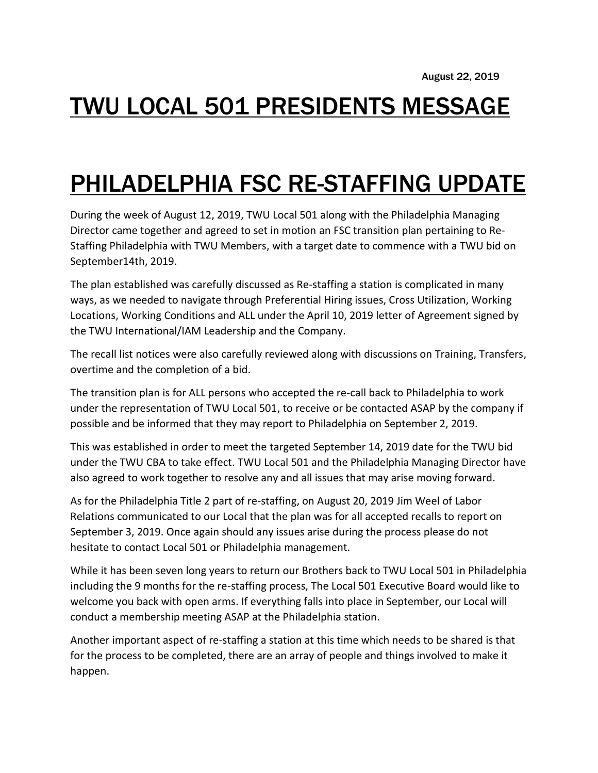# TWU LOCAL 501 PRESIDENTS MESSAGE

# PHILADELPHIA FSC RE-STAFFING UPDATE

During the week of August 12, 2019, TWU Local 501 along with the Philadelphia Managing Director came together and agreed to set in motion an FSC transition plan pertaining to Re-Staffing Philadelphia with TWU Members, with a target date to commence with a TWU bid on September14th, 2019.

The plan established was carefully discussed as Re-staffing a station is complicated in many ways, as we needed to navigate through Preferential Hiring issues, Cross Utilization, Working Locations, Working Conditions and ALL under the April 10, 2019 letter of Agreement signed by the TWU International/IAM Leadership and the Company.

The recall list notices were also carefully reviewed along with discussions on Training, Transfers, overtime and the completion of a bid.

The transition plan is for ALL persons who accepted the re-call back to Philadelphia to work under the representation of TWU Local 501, to receive or be contacted ASAP by the company if possible and be informed that they may report to Philadelphia on September 2, 2019.

This was established in order to meet the targeted September 14, 2019 date for the TWU bid under the TWU CBA to take effect. TWU Local 501 and the Philadelphia Managing Director have also agreed to work together to resolve any and all issues that may arise moving forward.

As for the Philadelphia Title 2 part of re-staffing, on August 20, 2019 Jim Weel of Labor Relations communicated to our Local that the plan was for all accepted recalls to report on September 3, 2019. Once again should any issues arise during the process please do not hesitate to contact Local 501 or Philadelphia management.

While it has been seven long years to return our Brothers back to TWU Local 501 in Philadelphia including the 9 months for the re-staffing process, The Local 501 Executive Board would like to welcome you back with open arms. If everything falls into place in September, our Local will conduct a membership meeting ASAP at the Philadelphia station.

Another important aspect of re-staffing a station at this time which needs to be shared is that for the process to be completed, there are an array of people and things involved to make it happen.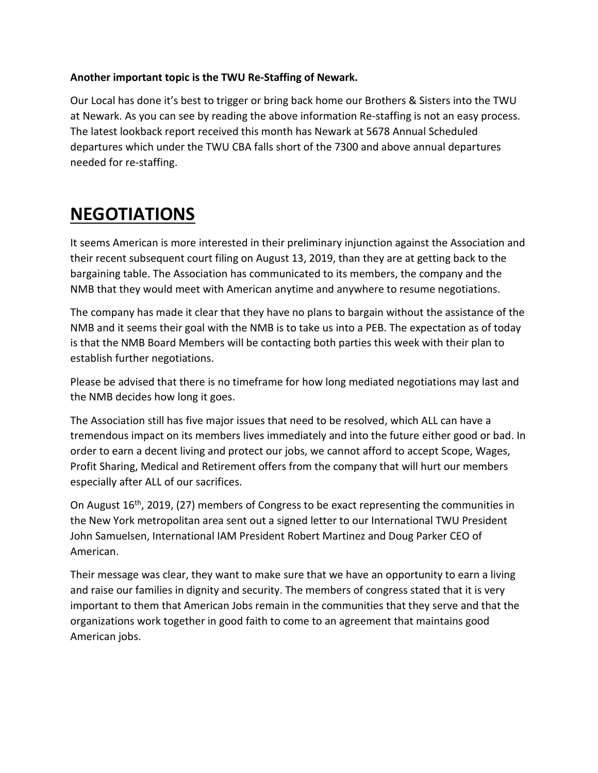### **Another important topic is the TWU Re-Staffing of Newark.**

Our Local has done it's best to trigger or bring back home our Brothers & Sisters into the TWU at Newark. As you can see by reading the above information Re-staffing is not an easy process. The latest lookback report received this month has Newark at 5678 Annual Scheduled departures which under the TWU CBA falls short of the 7300 and above annual departures needed for re-staffing.

## **NEGOTIATIONS**

It seems American is more interested in their preliminary injunction against the Association and their recent subsequent court filing on August 13, 2019, than they are at getting back to the bargaining table. The Association has communicated to its members, the company and the NMB that they would meet with American anytime and anywhere to resume negotiations.

The company has made it clear that they have no plans to bargain without the assistance of the NMB and it seems their goal with the NMB is to take us into a PEB. The expectation as of today is that the NMB Board Members will be contacting both parties this week with their plan to establish further negotiations.

Please be advised that there is no timeframe for how long mediated negotiations may last and the NMB decides how long it goes.

The Association still has five major issues that need to be resolved, which ALL can have a tremendous impact on its members lives immediately and into the future either good or bad. In order to earn a decent living and protect our jobs, we cannot afford to accept Scope, Wages, Profit Sharing, Medical and Retirement offers from the company that will hurt our members especially after ALL of our sacrifices.

On August 16<sup>th</sup>, 2019, (27) members of Congress to be exact representing the communities in the New York metropolitan area sent out a signed letter to our International TWU President John Samuelsen, International IAM President Robert Martinez and Doug Parker CEO of American.

Their message was clear, they want to make sure that we have an opportunity to earn a living and raise our families in dignity and security. The members of congress stated that it is very important to them that American Jobs remain in the communities that they serve and that the organizations work together in good faith to come to an agreement that maintains good American jobs.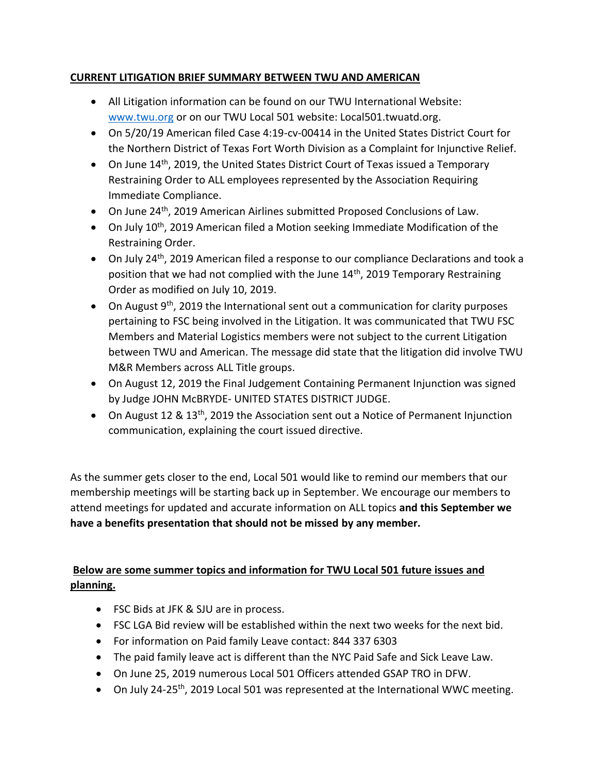### **CURRENT LITIGATION BRIEF SUMMARY BETWEEN TWU AND AMERICAN**

- All Litigation information can be found on our TWU International Website: [www.twu.org](http://www.twu.org/) or on our TWU Local 501 website: Local501.twuatd.org.
- On 5/20/19 American filed Case 4:19-cv-00414 in the United States District Court for the Northern District of Texas Fort Worth Division as a Complaint for Injunctive Relief.
- On June  $14<sup>th</sup>$ , 2019, the United States District Court of Texas issued a Temporary Restraining Order to ALL employees represented by the Association Requiring Immediate Compliance.
- On June 24<sup>th</sup>, 2019 American Airlines submitted Proposed Conclusions of Law.
- On July 10<sup>th</sup>, 2019 American filed a Motion seeking Immediate Modification of the Restraining Order.
- On July 24<sup>th</sup>, 2019 American filed a response to our compliance Declarations and took a position that we had not complied with the June  $14<sup>th</sup>$ , 2019 Temporary Restraining Order as modified on July 10, 2019.
- On August  $9^{th}$ , 2019 the International sent out a communication for clarity purposes pertaining to FSC being involved in the Litigation. It was communicated that TWU FSC Members and Material Logistics members were not subject to the current Litigation between TWU and American. The message did state that the litigation did involve TWU M&R Members across ALL Title groups.
- On August 12, 2019 the Final Judgement Containing Permanent Injunction was signed by Judge JOHN McBRYDE- UNITED STATES DISTRICT JUDGE.
- On August 12 & 13<sup>th</sup>, 2019 the Association sent out a Notice of Permanent Injunction communication, explaining the court issued directive.

As the summer gets closer to the end, Local 501 would like to remind our members that our membership meetings will be starting back up in September. We encourage our members to attend meetings for updated and accurate information on ALL topics **and this September we have a benefits presentation that should not be missed by any member.**

### **Below are some summer topics and information for TWU Local 501 future issues and planning.**

- FSC Bids at JFK & SJU are in process.
- FSC LGA Bid review will be established within the next two weeks for the next bid.
- For information on Paid family Leave contact: 844 337 6303
- The paid family leave act is different than the NYC Paid Safe and Sick Leave Law.
- On June 25, 2019 numerous Local 501 Officers attended GSAP TRO in DFW.
- On July 24-25<sup>th</sup>, 2019 Local 501 was represented at the International WWC meeting.